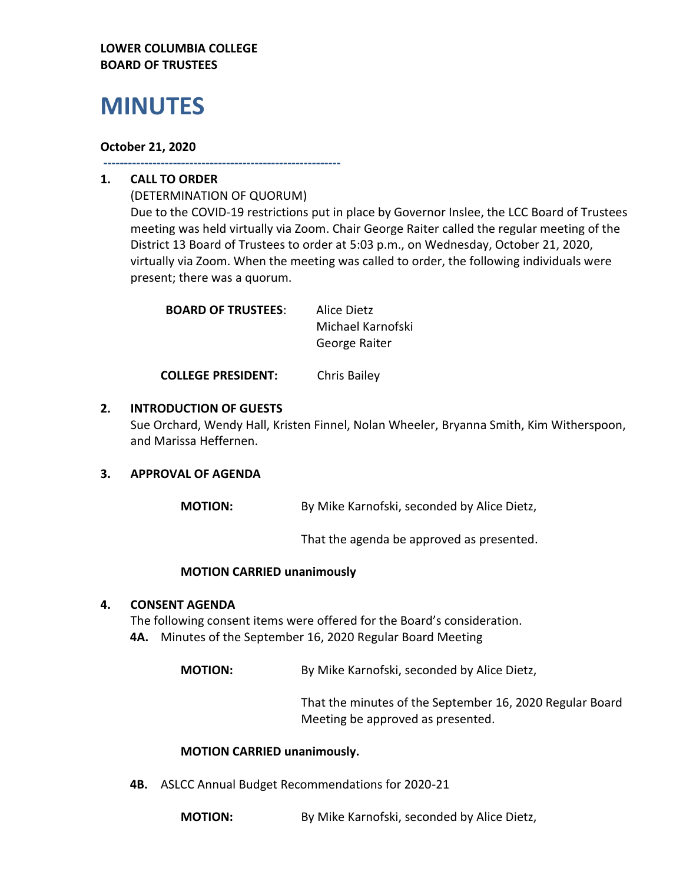#### **LOWER COLUMBIA COLLEGE BOARD OF TRUSTEES**

# **MINUTES**

#### **October 21, 2020**

**----------------------------------------------------------**

## **1. CALL TO ORDER**

(DETERMINATION OF QUORUM) Due to the COVID-19 restrictions put in place by Governor Inslee, the LCC Board of Trustees meeting was held virtually via Zoom. Chair George Raiter called the regular meeting of the District 13 Board of Trustees to order at 5:03 p.m., on Wednesday, October 21, 2020, virtually via Zoom. When the meeting was called to order, the following individuals were present; there was a quorum.

| Alice Dietz       |
|-------------------|
| Michael Karnofski |
| George Raiter     |
|                   |

**COLLEGE PRESIDENT:** Chris Bailey

### **2. INTRODUCTION OF GUESTS**

Sue Orchard, Wendy Hall, Kristen Finnel, Nolan Wheeler, Bryanna Smith, Kim Witherspoon, and Marissa Heffernen.

#### **3. APPROVAL OF AGENDA**

**MOTION:** By Mike Karnofski, seconded by Alice Dietz,

That the agenda be approved as presented.

#### **MOTION CARRIED unanimously**

#### **4. CONSENT AGENDA**

The following consent items were offered for the Board's consideration. **4A.** Minutes of the September 16, 2020 Regular Board Meeting

**MOTION:** By Mike Karnofski, seconded by Alice Dietz,

That the minutes of the September 16, 2020 Regular Board Meeting be approved as presented.

#### **MOTION CARRIED unanimously.**

**4B.** ASLCC Annual Budget Recommendations for 2020-21

**MOTION:** By Mike Karnofski, seconded by Alice Dietz,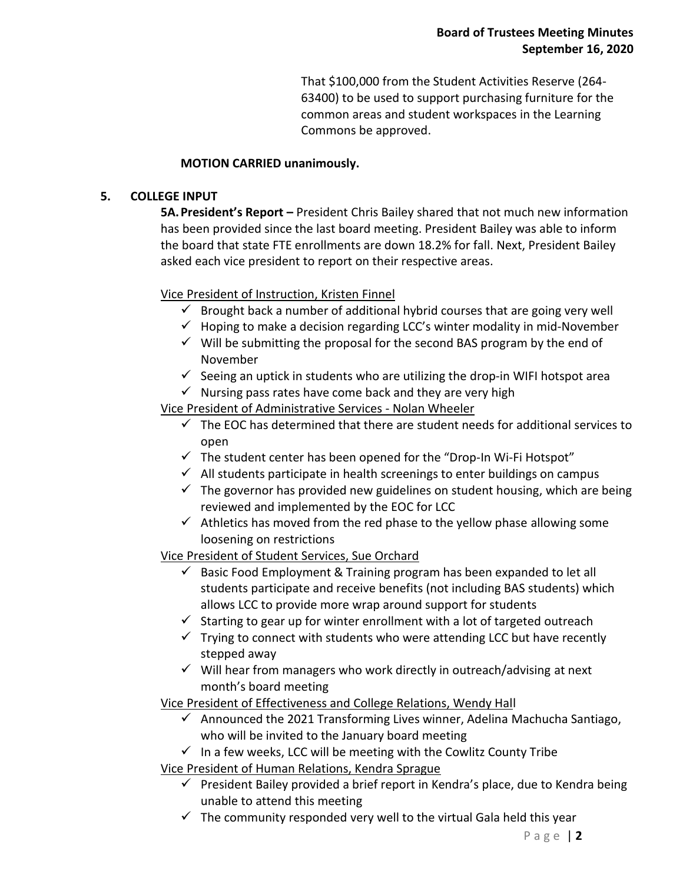That \$100,000 from the Student Activities Reserve (264- 63400) to be used to support purchasing furniture for the common areas and student workspaces in the Learning Commons be approved.

## **MOTION CARRIED unanimously.**

#### **5. COLLEGE INPUT**

**5A.President's Report –** President Chris Bailey shared that not much new information has been provided since the last board meeting. President Bailey was able to inform the board that state FTE enrollments are down 18.2% for fall. Next, President Bailey asked each vice president to report on their respective areas.

## Vice President of Instruction, Kristen Finnel

- $\checkmark$  Brought back a number of additional hybrid courses that are going very well
- $\checkmark$  Hoping to make a decision regarding LCC's winter modality in mid-November
- $\checkmark$  Will be submitting the proposal for the second BAS program by the end of November
- $\checkmark$  Seeing an uptick in students who are utilizing the drop-in WIFI hotspot area
- $\checkmark$  Nursing pass rates have come back and they are very high

Vice President of Administrative Services - Nolan Wheeler

- $\checkmark$  The EOC has determined that there are student needs for additional services to open
- $\checkmark$  The student center has been opened for the "Drop-In Wi-Fi Hotspot"
- $\checkmark$  All students participate in health screenings to enter buildings on campus
- $\checkmark$  The governor has provided new guidelines on student housing, which are being reviewed and implemented by the EOC for LCC
- $\checkmark$  Athletics has moved from the red phase to the yellow phase allowing some loosening on restrictions

## Vice President of Student Services, Sue Orchard

- $\checkmark$  Basic Food Employment & Training program has been expanded to let all students participate and receive benefits (not including BAS students) which allows LCC to provide more wrap around support for students
- $\checkmark$  Starting to gear up for winter enrollment with a lot of targeted outreach
- $\checkmark$  Trying to connect with students who were attending LCC but have recently stepped away
- $\checkmark$  Will hear from managers who work directly in outreach/advising at next month's board meeting

Vice President of Effectiveness and College Relations, Wendy Hall

- $\checkmark$  Announced the 2021 Transforming Lives winner, Adelina Machucha Santiago, who will be invited to the January board meeting
- $\checkmark$  In a few weeks, LCC will be meeting with the Cowlitz County Tribe

Vice President of Human Relations, Kendra Sprague

- $\checkmark$  President Bailey provided a brief report in Kendra's place, due to Kendra being unable to attend this meeting
- $\checkmark$  The community responded very well to the virtual Gala held this year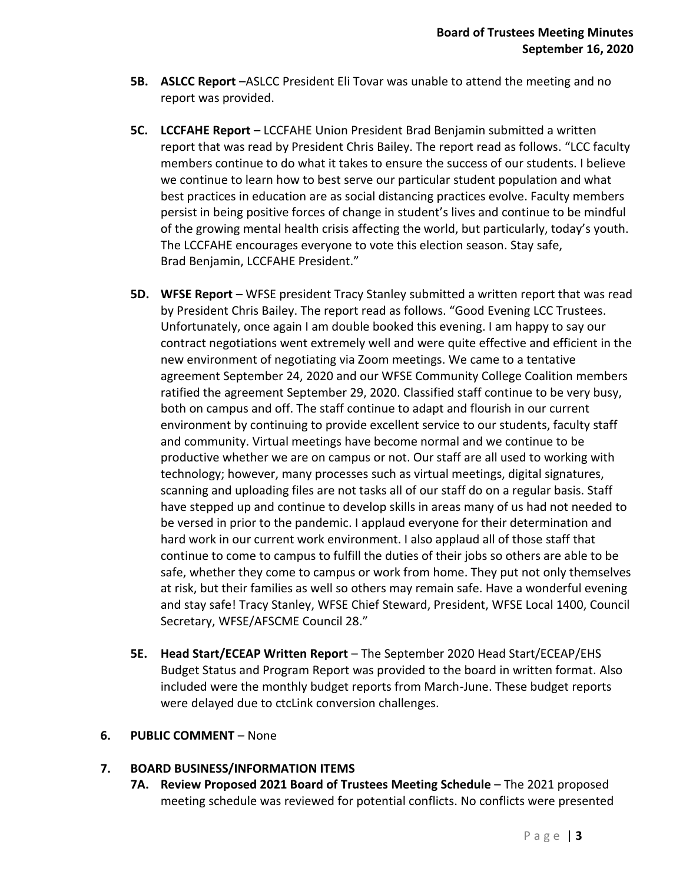- **5B. ASLCC Report** –ASLCC President Eli Tovar was unable to attend the meeting and no report was provided.
- **5C. LCCFAHE Report** LCCFAHE Union President Brad Benjamin submitted a written report that was read by President Chris Bailey. The report read as follows. "LCC faculty members continue to do what it takes to ensure the success of our students. I believe we continue to learn how to best serve our particular student population and what best practices in education are as social distancing practices evolve. Faculty members persist in being positive forces of change in student's lives and continue to be mindful of the growing mental health crisis affecting the world, but particularly, today's youth. The LCCFAHE encourages everyone to vote this election season. Stay safe, Brad Benjamin, LCCFAHE President."
- **5D. WFSE Report** WFSE president Tracy Stanley submitted a written report that was read by President Chris Bailey. The report read as follows. "Good Evening LCC Trustees. Unfortunately, once again I am double booked this evening. I am happy to say our contract negotiations went extremely well and were quite effective and efficient in the new environment of negotiating via Zoom meetings. We came to a tentative agreement September 24, 2020 and our WFSE Community College Coalition members ratified the agreement September 29, 2020. Classified staff continue to be very busy, both on campus and off. The staff continue to adapt and flourish in our current environment by continuing to provide excellent service to our students, faculty staff and community. Virtual meetings have become normal and we continue to be productive whether we are on campus or not. Our staff are all used to working with technology; however, many processes such as virtual meetings, digital signatures, scanning and uploading files are not tasks all of our staff do on a regular basis. Staff have stepped up and continue to develop skills in areas many of us had not needed to be versed in prior to the pandemic. I applaud everyone for their determination and hard work in our current work environment. I also applaud all of those staff that continue to come to campus to fulfill the duties of their jobs so others are able to be safe, whether they come to campus or work from home. They put not only themselves at risk, but their families as well so others may remain safe. Have a wonderful evening and stay safe! Tracy Stanley, WFSE Chief Steward, President, WFSE Local 1400, Council Secretary, WFSE/AFSCME Council 28."
- **5E. Head Start/ECEAP Written Report** The September 2020 Head Start/ECEAP/EHS Budget Status and Program Report was provided to the board in written format. Also included were the monthly budget reports from March-June. These budget reports were delayed due to ctcLink conversion challenges.

#### **6. PUBLIC COMMENT** – None

#### **7. BOARD BUSINESS/INFORMATION ITEMS**

**7A. Review Proposed 2021 Board of Trustees Meeting Schedule** – The 2021 proposed meeting schedule was reviewed for potential conflicts. No conflicts were presented